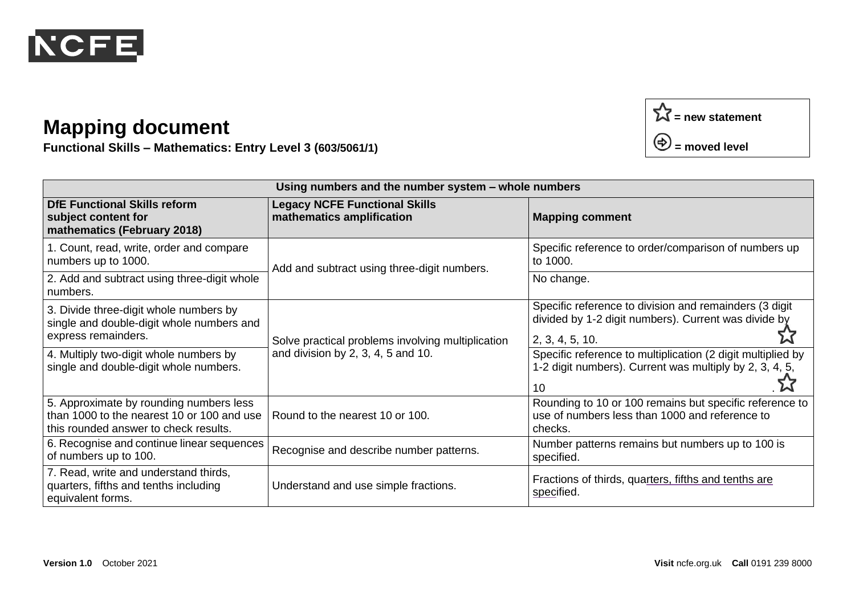

**Functional Skills – Mathematics: Entry Level 3 (603/5061/1)**

| Using numbers and the number system - whole numbers                                                                            |                                                                                         |                                                                                                                                   |  |
|--------------------------------------------------------------------------------------------------------------------------------|-----------------------------------------------------------------------------------------|-----------------------------------------------------------------------------------------------------------------------------------|--|
| <b>DfE Functional Skills reform</b><br>subject content for<br>mathematics (February 2018)                                      | <b>Legacy NCFE Functional Skills</b><br>mathematics amplification                       | <b>Mapping comment</b>                                                                                                            |  |
| 1. Count, read, write, order and compare<br>numbers up to 1000.                                                                | Add and subtract using three-digit numbers.                                             | Specific reference to order/comparison of numbers up<br>to 1000.                                                                  |  |
| 2. Add and subtract using three-digit whole<br>numbers.                                                                        |                                                                                         | No change.                                                                                                                        |  |
| 3. Divide three-digit whole numbers by<br>single and double-digit whole numbers and<br>express remainders.                     | Solve practical problems involving multiplication<br>and division by 2, 3, 4, 5 and 10. | Specific reference to division and remainders (3 digit<br>divided by 1-2 digit numbers). Current was divide by<br>2, 3, 4, 5, 10. |  |
| 4. Multiply two-digit whole numbers by<br>single and double-digit whole numbers.                                               |                                                                                         | Specific reference to multiplication (2 digit multiplied by<br>1-2 digit numbers). Current was multiply by 2, 3, 4, 5,<br>10      |  |
| 5. Approximate by rounding numbers less<br>than 1000 to the nearest 10 or 100 and use<br>this rounded answer to check results. | Round to the nearest 10 or 100.                                                         | Rounding to 10 or 100 remains but specific reference to<br>use of numbers less than 1000 and reference to<br>checks.              |  |
| 6. Recognise and continue linear sequences<br>of numbers up to 100.                                                            | Recognise and describe number patterns.                                                 | Number patterns remains but numbers up to 100 is<br>specified.                                                                    |  |
| 7. Read, write and understand thirds,<br>quarters, fifths and tenths including<br>equivalent forms.                            | Understand and use simple fractions.                                                    | Fractions of thirds, quarters, fifths and tenths are<br>specified.                                                                |  |

**= new statement**

**= moved level**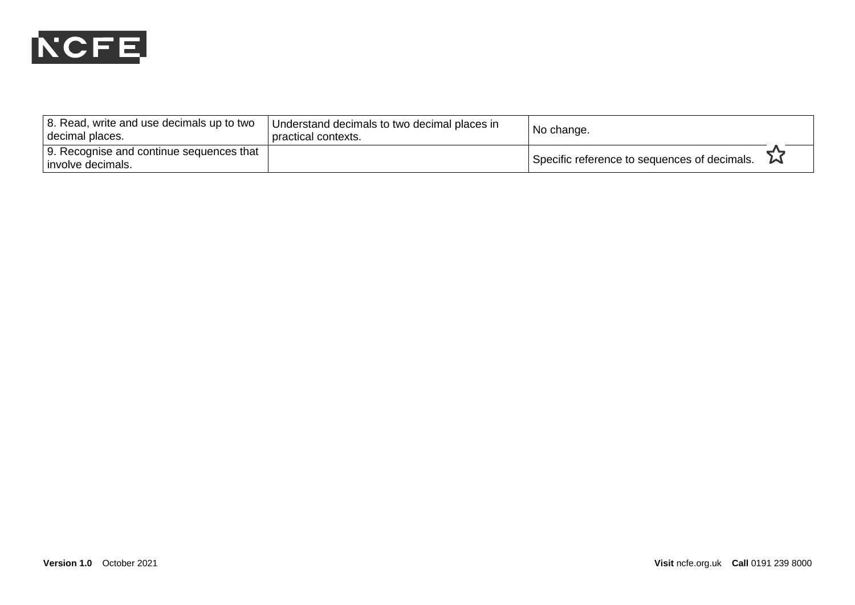

| 8. Read, write and use decimals up to two<br>decimal places.    | Understand decimals to two decimal places in<br>I practical contexts. | No change.                                   |
|-----------------------------------------------------------------|-----------------------------------------------------------------------|----------------------------------------------|
| 9. Recognise and continue sequences that<br>l involve decimals. |                                                                       | Specific reference to sequences of decimals. |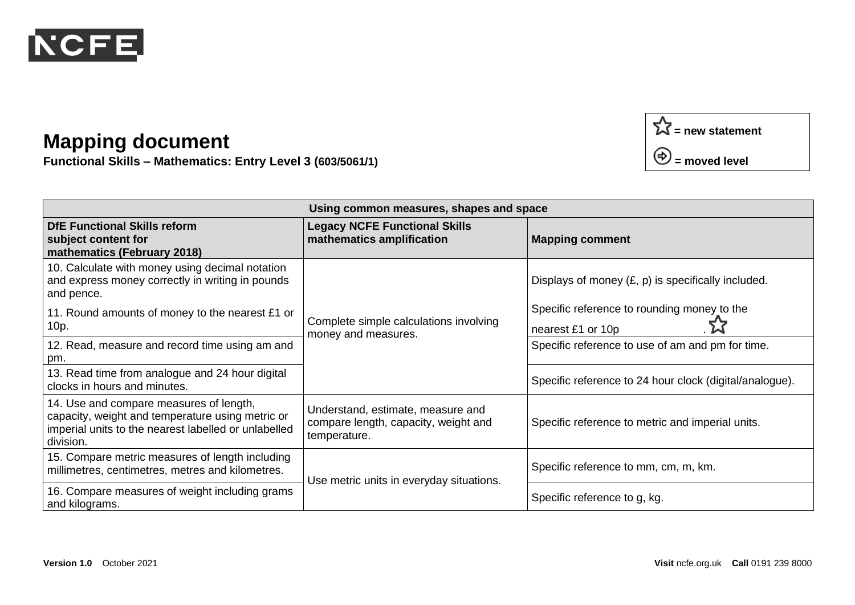

**Functional Skills – Mathematics: Entry Level 3 (603/5061/1)**



| Using common measures, shapes and space                                                                                                                          |                                                                                           |                                                                  |  |  |
|------------------------------------------------------------------------------------------------------------------------------------------------------------------|-------------------------------------------------------------------------------------------|------------------------------------------------------------------|--|--|
| <b>DfE Functional Skills reform</b><br>subject content for<br>mathematics (February 2018)                                                                        | <b>Legacy NCFE Functional Skills</b><br>mathematics amplification                         | <b>Mapping comment</b>                                           |  |  |
| 10. Calculate with money using decimal notation<br>and express money correctly in writing in pounds<br>and pence.                                                | Complete simple calculations involving<br>money and measures.                             | Displays of money $(E, p)$ is specifically included.             |  |  |
| 11. Round amounts of money to the nearest £1 or<br>10p.                                                                                                          |                                                                                           | Specific reference to rounding money to the<br>nearest £1 or 10p |  |  |
| 12. Read, measure and record time using am and<br>pm.                                                                                                            |                                                                                           | Specific reference to use of am and pm for time.                 |  |  |
| 13. Read time from analogue and 24 hour digital<br>clocks in hours and minutes.                                                                                  |                                                                                           | Specific reference to 24 hour clock (digital/analogue).          |  |  |
| 14. Use and compare measures of length,<br>capacity, weight and temperature using metric or<br>imperial units to the nearest labelled or unlabelled<br>division. | Understand, estimate, measure and<br>compare length, capacity, weight and<br>temperature. | Specific reference to metric and imperial units.                 |  |  |
| 15. Compare metric measures of length including<br>millimetres, centimetres, metres and kilometres.                                                              | Use metric units in everyday situations.                                                  | Specific reference to mm, cm, m, km.                             |  |  |
| 16. Compare measures of weight including grams<br>and kilograms.                                                                                                 |                                                                                           | Specific reference to g, kg.                                     |  |  |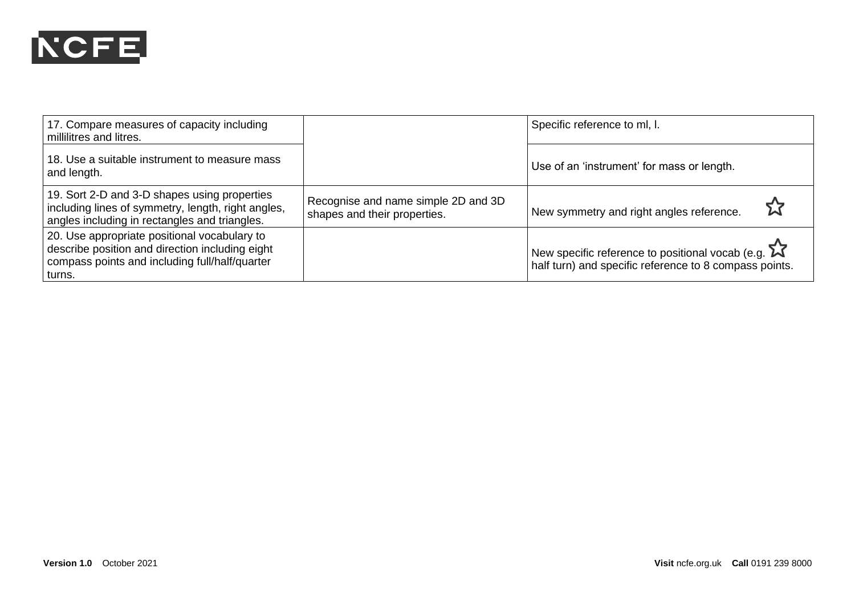

| 17. Compare measures of capacity including<br>millilitres and litres.                                                                                         |                                                                     | Specific reference to ml, l.                                                                                                     |
|---------------------------------------------------------------------------------------------------------------------------------------------------------------|---------------------------------------------------------------------|----------------------------------------------------------------------------------------------------------------------------------|
| 18. Use a suitable instrument to measure mass<br>and length.                                                                                                  |                                                                     | Use of an 'instrument' for mass or length.                                                                                       |
| 19. Sort 2-D and 3-D shapes using properties<br>including lines of symmetry, length, right angles,<br>angles including in rectangles and triangles.           | Recognise and name simple 2D and 3D<br>shapes and their properties. | New symmetry and right angles reference.                                                                                         |
| 20. Use appropriate positional vocabulary to<br>describe position and direction including eight<br>compass points and including full/half/quarter<br>∣ turns. |                                                                     | New specific reference to positional vocab (e.g. $\boldsymbol{\Sigma}$<br>half turn) and specific reference to 8 compass points. |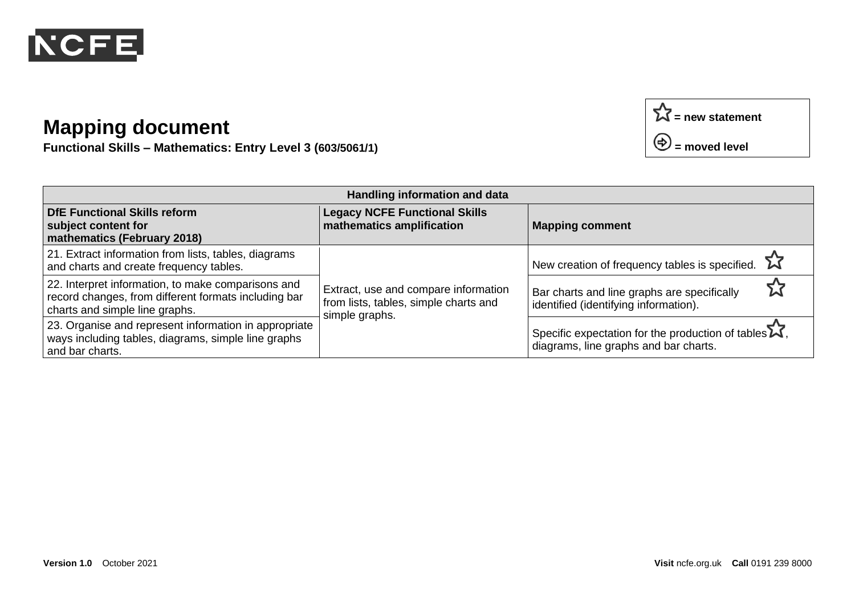

**Functional Skills – Mathematics: Entry Level 3 (603/5061/1)**

| Handling information and data                                                                                                                |                                                                                                 |                                                                                                                       |  |  |
|----------------------------------------------------------------------------------------------------------------------------------------------|-------------------------------------------------------------------------------------------------|-----------------------------------------------------------------------------------------------------------------------|--|--|
| <b>DfE Functional Skills reform</b><br>subject content for<br>mathematics (February 2018)                                                    | <b>Legacy NCFE Functional Skills</b><br>mathematics amplification                               | <b>Mapping comment</b>                                                                                                |  |  |
| 21. Extract information from lists, tables, diagrams<br>and charts and create frequency tables.                                              | Extract, use and compare information<br>from lists, tables, simple charts and<br>simple graphs. | New creation of frequency tables is specified.                                                                        |  |  |
| 22. Interpret information, to make comparisons and<br>record changes, from different formats including bar<br>charts and simple line graphs. |                                                                                                 | Bar charts and line graphs are specifically<br>identified (identifying information).                                  |  |  |
| 23. Organise and represent information in appropriate<br>ways including tables, diagrams, simple line graphs<br>and bar charts.              |                                                                                                 | Specific expectation for the production of tables $\mathbf{\tilde{\lambda}}$<br>diagrams, line graphs and bar charts. |  |  |

**= new statement**

**= moved level**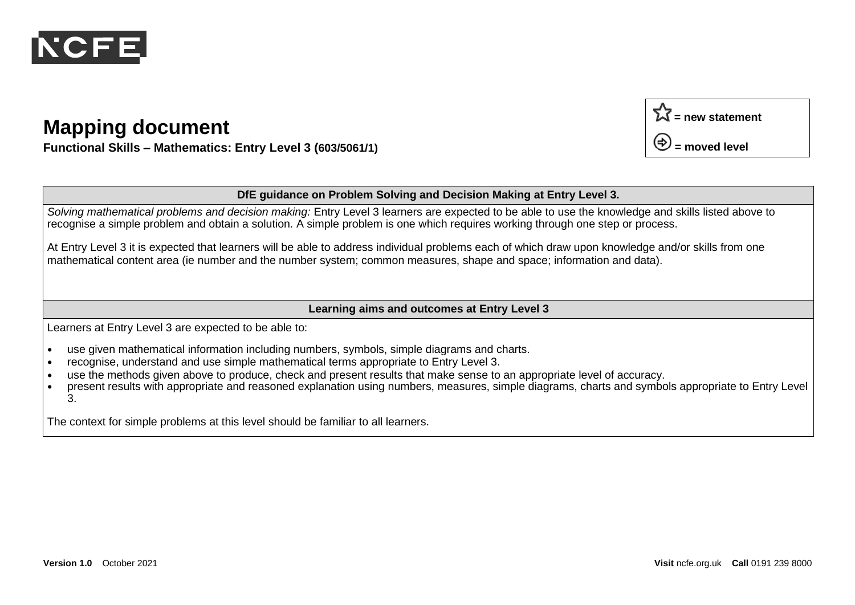

**Functional Skills – Mathematics: Entry Level 3 (603/5061/1)**

#### **DfE guidance on Problem Solving and Decision Making at Entry Level 3.**

*Solving mathematical problems and decision making:* Entry Level 3 learners are expected to be able to use the knowledge and skills listed above to recognise a simple problem and obtain a solution. A simple problem is one which requires working through one step or process.

At Entry Level 3 it is expected that learners will be able to address individual problems each of which draw upon knowledge and/or skills from one mathematical content area (ie number and the number system; common measures, shape and space; information and data).

#### **Learning aims and outcomes at Entry Level 3**

Learners at Entry Level 3 are expected to be able to:

- **•** use given mathematical information including numbers, symbols, simple diagrams and charts.
- **•** recognise, understand and use simple mathematical terms appropriate to Entry Level 3.
- **•** use the methods given above to produce, check and present results that make sense to an appropriate level of accuracy.
- **•** present results with appropriate and reasoned explanation using numbers, measures, simple diagrams, charts and symbols appropriate to Entry Level 3.

The context for simple problems at this level should be familiar to all learners.

 $\Sigma$  = new statement

**= moved level**